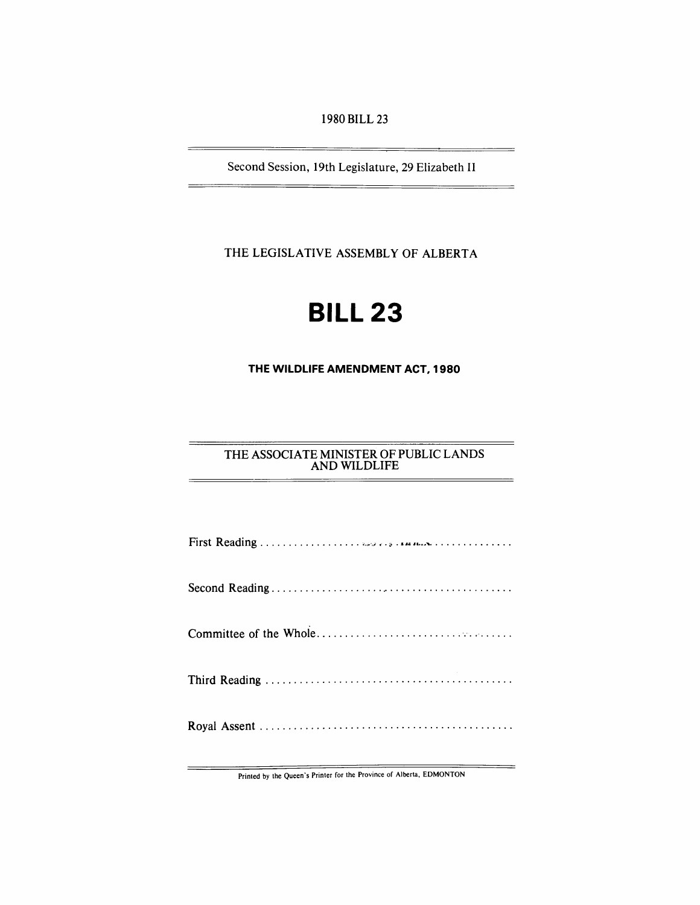1980 BILL 23

Second Session, 19th Legislature, 29 Elizabeth II

THE LEGISLATIVE ASSEMBLY OF ALBERTA

# **BILL 23**

**THE WILDLIFE AMENDMENT ACT, 1980** 

# THE ASSOCIATE MINISTER OF PUBLIC LANDS AND WILDLIFE

Printed by the Queen's Printer for the Province of Alberta, EDMONTON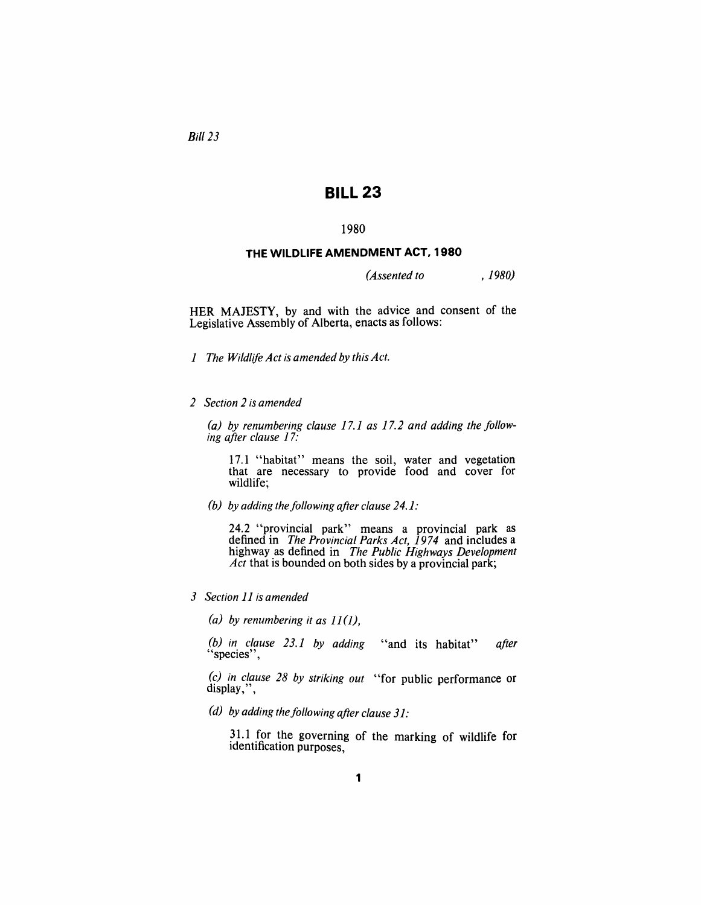*Bill* 23

# **BILL 23**

## 1980

#### **THE WILDLIFE AMENDMENT ACT, 1980**

*(Assented to ,1980)* 

HER MAJESTY, by and with the advice and consent of the Legislative Assembly of Alberta, enacts as follows:

- *1 The Wildlife Act is amended by this Act.*
- *2 Section* 2 *is amended*

*(a) by renumbering clause* 17.1 *as* 17.2 *and adding the /ollowing after clause 17:* 

17.1 "habitat" means the soil, water and vegetation that are necessary to provide food and cover for wildlife;

*(b) by adding the following after clause 24.1:* 

24.2 "provincial park" means a provincial park as defined in *The Provincial Parks Act,* 1974 and includes a highway as defined in *The Public Highways Development Act* that is bounded on both sides by a provincial park;

*3 Section* 11 *is amended* 

(a) by renumbering it as  $11(1)$ ,

*(b) in clause* 23.1 *by adding* "and its habitat" *after* "species" ,

*(c) in clause* 28 *by striking out* "for public performance or display,",

(*d*) by adding the following after clause 31:

31.1 for the governing of the marking of wildlife for identification purposes,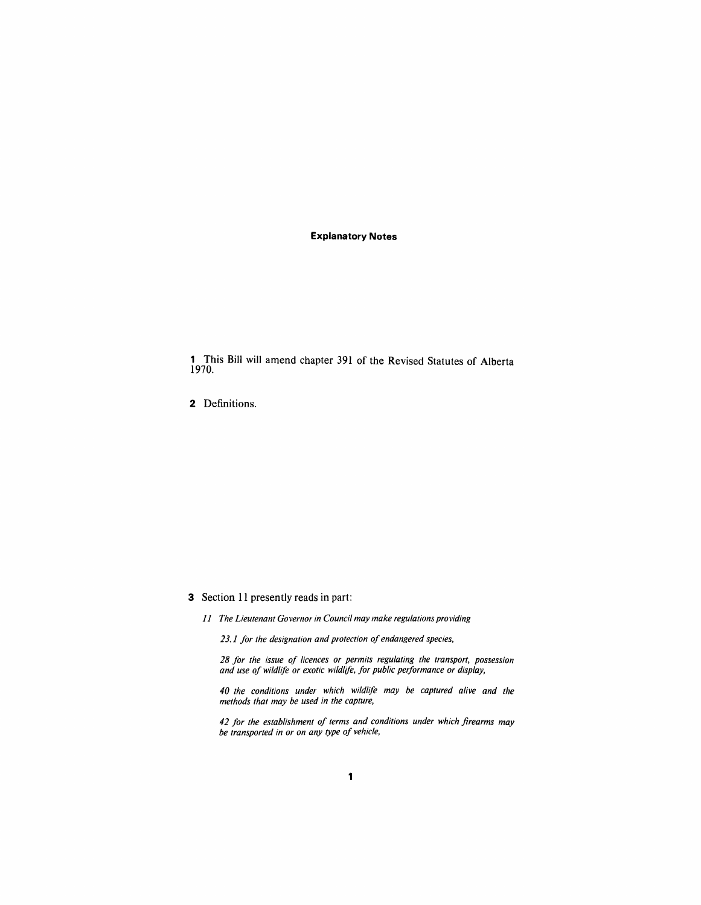#### **Explanatory Notes**

1 This Bill will amend chapter 391 of the Revised Statutes of Alberta 1970.

2 Definitions.

## 3 Section 11 presently reads in part:

*11 The Lieutenant Governor in Council may make regulations providing* 

*23.1 for the designation and protection of endangered species,* 

*28 for the issue of licences or permits regulating the transport, possession and use of wildlife or exotic wildlife, for public performance or display,* 

*40 the conditions under which wildlife may be captured alive and the methods that may be used in the capture,* 

*42 for the establishment of terms and conditions under which firearms may be transported in or on any type of vehicle,*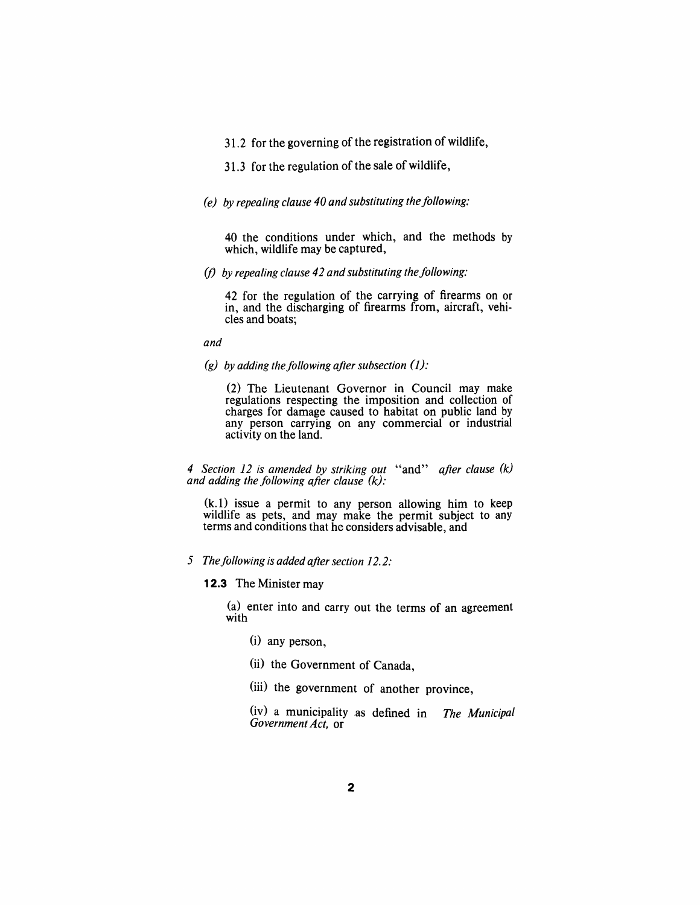31.2 for the governing of the registration of wildlife,

31.3 for the regulation of the sale of wildlife,

# *(e) by repealing clause 40 and substituting the following:*

40 the conditions under which, and the methods by which, wildlife may be captured,

(f) by repealing clause 42 and substituting the following:

42 for the regulation of the carrying of firearms on or in, and the discharging of firearms from, aircraft, vehicles and boats;

*and* 

 $(g)$  by adding the following after subsection  $(1)$ :

(2) The Lieutenant Governor in Council may make regulations respecting the imposition and collection of charges for damage caused to habitat on public land by any person carrying on any commercial or industrial activity on the land.

*4 Section* 12 *is amended by striking out* "and" *after clause (k) and adding the following after clause*  $(k)$ :

(k.l) issue a permit to any person allowing him to keep wildlife as pets, and may make the permit subject to any terms and conditions that he considers advisable, and

# 5 The following is added after section 12.2:

## **12.3** The Minister may

(a) enter into and carry out the terms of an agreement with

- (i) any person,
- (ii) the Government of Canada,
- (iii) the government of another province,

(iv) a municipality as defined in *The Municipal Government Act,* or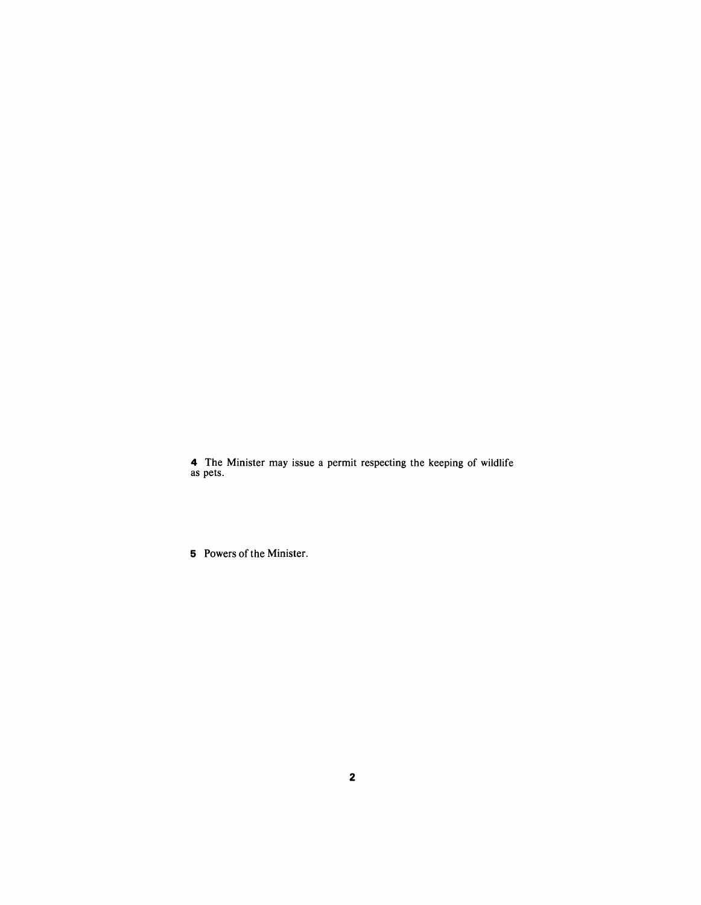4 The Minister may issue a permit respecting the keeping of wildlife as pets.

5 Powers of the Minister.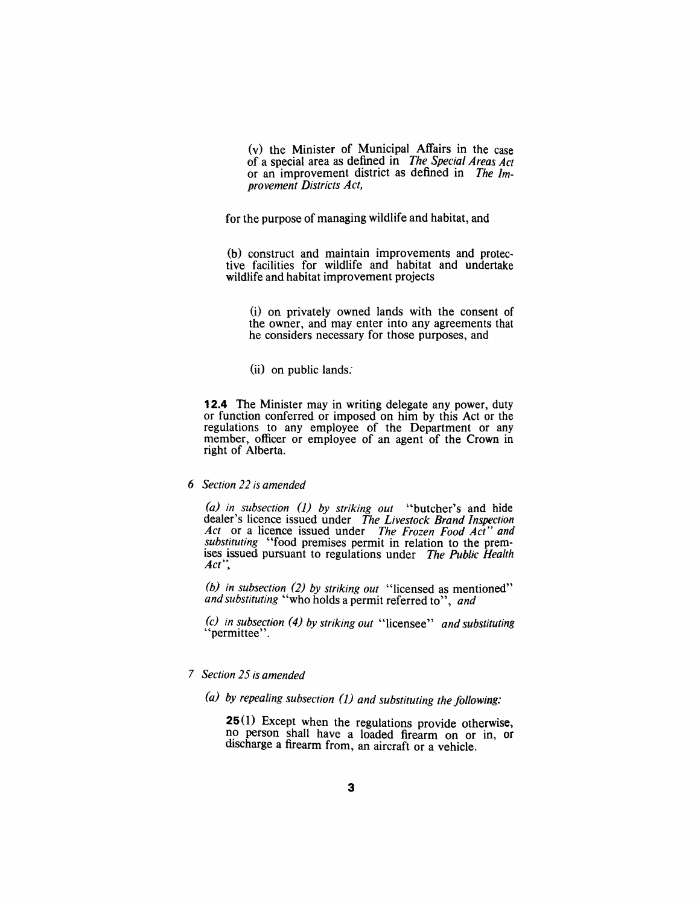(v) the Minister of Municipal Affairs in the case of a special area as defined in *The Special Areas Act*  or an improvement district as defined in *The Improvement Districts Act,* 

for the purpose of managing wildlife and habitat, and

(b) construct and maintain improvements and protective facilities for wildlife and habitat and undertake wildlife and habitat improvement projects

(i) on privately owned lands with the consent of the owner, and may enter into any agreements that he considers necessary for those purposes, and

 $(ii)$  on public lands.

**12.4** The Minister may in writing delegate any power, duty or function conferred or imposed on him by this Act or the regulations to any employee of the Department or any member, officer or employee of an agent of the Crown in right of Alberta.

## *6 Section* 22 *is amended*

*(a) in subsection* 0) *by striking out* "butcher's and hide dealer's licence issued under *The Livestock Brand Inspection Act* or a licence issued under *The Frozen Food Act" and substituting* "food premises permit in relation to the premises issued pursuant to regulations under *The Public Health*  $Act^{\prime\prime}$ .

*(b) in subsection* (2) *by striking out* "licensed as mentioned" *and substituting* "who holds a permit referred to", *and* 

*(c) in subsection* (4) *by striking out* "licensee" *and substituting* "permittee" .

# *7 Section* 25 *is amended*

*(a) by repealing subsection* 0) *and substituting the following:* 

25(1) Except when the regulations provide otherwise, no person shall have a loaded firearm on or in, or discharge a firearm from, an aircraft or a vehicle.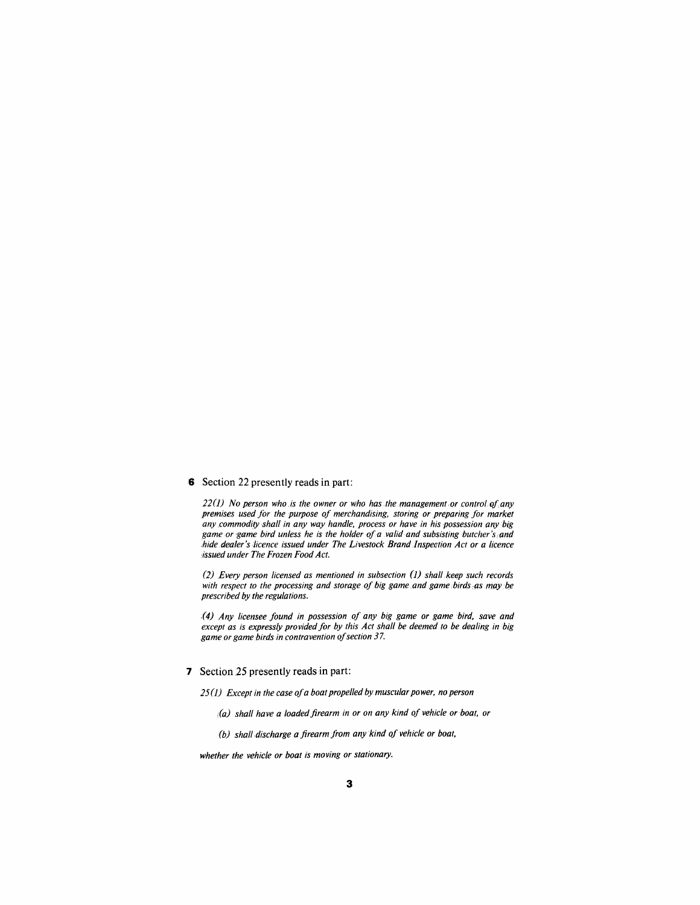#### 6 Section 22 presently reads in part:

*22(1)* No person who is the owner or who has the management or control of any *premises used for the purpose of merchandising, storing or preparing for market any commodity shall in any way handle, process or have in his possession any big game or game bird unless he is the holder o/a valid and subsisting butcher's ,and hide dealer's iicence issued under The Livestock Brand Inspeetion Act or a licence issued under The Frozen Food Act.* 

*(2) Every person licensed as mentioned in subsection (J) shall keep such records*  with respect to the processing and storage of big game and game birds as may be *prescribed by the regulations.* 

*,(4) Any licensee found in possession of any big game or gamebird, save and except as is expressly provided for by this Act shall be deemed to be dealing in big game or game birds in contravention of section* 37.

#### 7 Section 25 presently reads in part:

*25(J) Except in the case ofa boat propelled by muscular power, no person* 

- *(a) shall have a loaded firearm in or on any kind of vehicle or boat, or*
- *(b) shalf,discharge a firearm from any kind of vehicle or boat,*

*whether the vehicle or boat is moving or stationary.*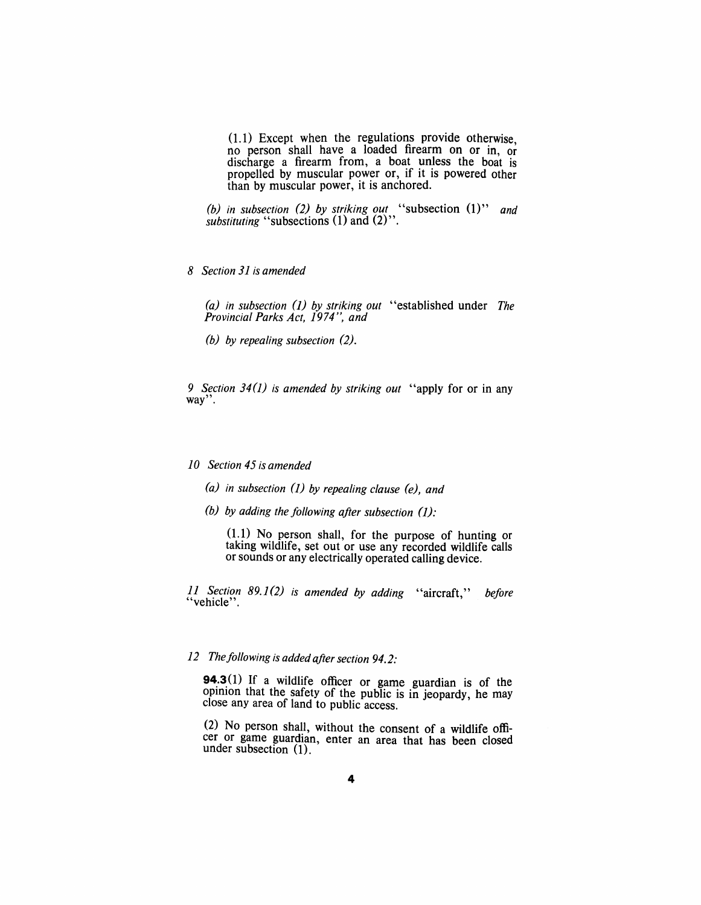$(1.1)$  Except when the regulations provide otherwise, no person shall have a loaded firearm on or in, or discharge a firearm from, a boat unless the boat is propelled by muscular power or, if it is powered other than by muscular power, it is anchored.

*(b) in subsection* (2) *by striking out* "subsection (1)" *and substituting* "subsections (1) and (2)".

*8 Section* 31 *is amended* 

*(a) in subsection* (1) *by striking out* "established under *The Provincial Parks Act,* 1974", *and* 

*(b) by repealing subsection (2).* 

*9 Section* 34(1) *is amended by striking out* "apply for or in any way".

#### *10 Section* 45 *is amended*

- *(a) in subsection* (1) *by repealing clause (e), and*
- *(b) by adding the following after subsection (1):*

 $(1.1)$  No person shall, for the purpose of hunting or taking wildlife, set out or use any recorded wildlife calls or sounds or any electrically operated calling device.

*11 Section 89.1(2) is amended by adding* "aircraft," *before* "vehicle".

# *12 Thefollowing is added after section 94.2:*

**94.3**(1) If a wildlife officer or game guardian is of the opinion that the safety of the public is in jeopardy, he may close any area of land to public access.

(2) No person shall, without the consent of a wildlife officer or game guardian, enter an area that has been closed under subsection (1).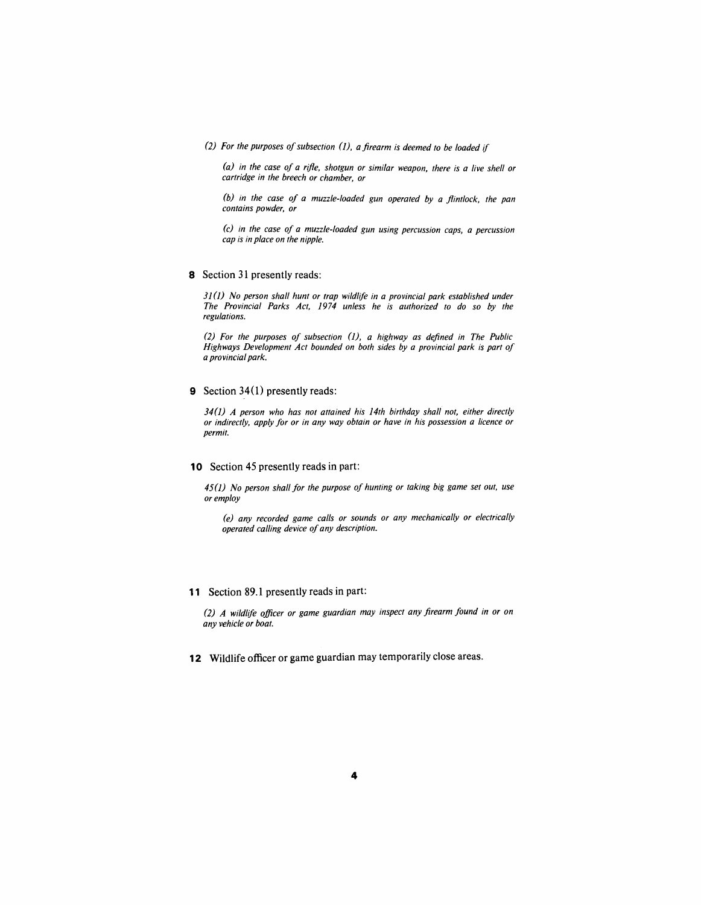*(2) For the purposes of subsection* 0), *a firearm is deemed to be loaded if* 

*(a) in the case of a rifle, shotgun or similar weapon, there is a live shell or cartridge in the breech or chamber, or* 

*(b) in the case of a muzzle-loaded gun operated by a flintlock, the pan contains powder, or* 

*(c) in the case of a muzzle-loaded gun using percussion caps, a percussion cap is in place on the nipple.* 

8 Section 31 presently reads:

*310) No person shall hunt or trap wildlife in a provincial park established under The Provincial Parks Act,* 1974 *unless he is authorized to do so by the regulations.* 

*(2) For the purposes of subsection* 0), *a highway as defined in The Public Highways Development Act bounded on both sides by a provincial park is part of a provincial park.* 

9 Section 34(1) presently reads:

*340) A person who has not attained his 14th birthday shall not, either directly or indirectly, apply for or in any way obtain or have in his possession a licence or permit.* 

#### 10 Section 45 presently reads in part:

*450) No person shall for the purpose of hunting or taking big game set out, use or employ* 

*(e) any recorded game calls or sounds or any mechanically or electrically operated calling device of any description.* 

**11** Section 89.1 presently reads in part:

*(2) A Wildlife officer or game guardian may inspect any firearm found in or on any vehicle or boat.* 

**12** Wildlife officer or game guardian may temporarily close areas.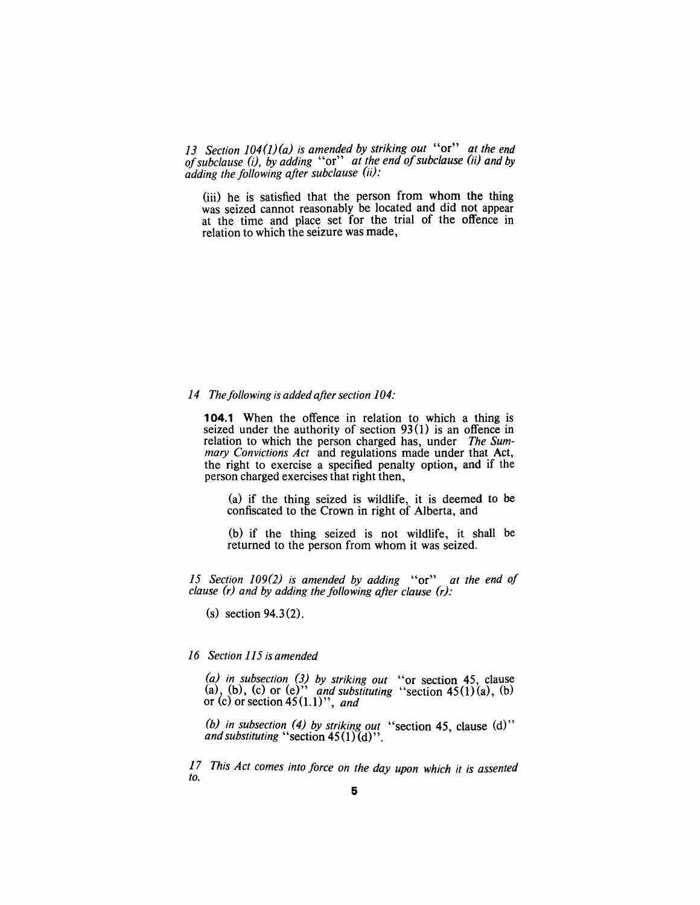*13 Section 104(J)(a) is amended by striking out* "or" *at the end of subclause (i), by adding* "or" *at the end of subclause (ii) and by adding the following after subclause (ii):* 

(iii) he is satisfied that the person from whom the thing was seized cannot reasonably be located and did not appear at the time and place set for the trial of the offence in relation to which the seizure was made,

#### *14 The following is added after section 104:*

**104.1** When the offence in relation to which a thing is seized under the authority of section 93(1) is an offence in relation to which the person charged has, under *The Summary Convictions Act* and regulations made under that Act, the right to exercise a specified penalty option, and if the person charged exercises that right then,

(a) if the thing seized is wildlife, it is deemed to be confiscated to the Crown in right of Alberta, and

(b) if the thing seized is not wildlife, it shall be returned to the person from whom it was seized.

*15 Section 109(2) is amended by adding* "or" *at the end 0/ clause (r) and by adding the following after clause* (r):

(s) section 94.3 (2).

## *16 Section* 115 *is amended*

*(a) in subsection* (3) *by striking out* "or section 45, clause (a), (b), (c) or (e)" *and substituting* "section  $45(1)(a)$ , (b) or \.c) or section 45 (1.1)", *and* 

*(b) in subsection* (4) *by striking out* "section 45 clause (d)" *and substituting* "section  $45(1)(d)$ ".

*17 This Act comes into force on the day upon which it is assented to.*